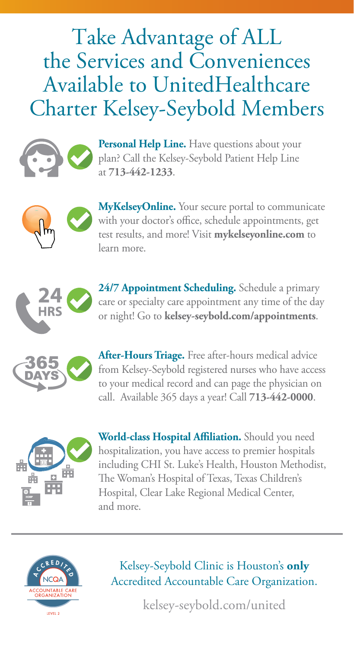## Take Advantage of ALL the Services and Conveniences Available to UnitedHealthcare Charter Kelsey-Seybold Members



**Personal Help Line.** Have questions about your plan? Call the Kelsey-Seybold Patient Help Line at **713-442-1233**.



**MyKelseyOnline.** Your secure portal to communicate with your doctor's office, schedule appointments, get test results, and more! Visit **mykelseyonline.com** to learn more.



**24/7 Appointment Scheduling.** Schedule a primary care or specialty care appointment any time of the day or night! Go to **kelsey-seybold.com/appointments**.



**After-Hours Triage.** Free after-hours medical advice from Kelsey-Seybold registered nurses who have access to your medical record and can page the physician on call. Available 365 days a year! Call **713-442-0000**.



**World-class Hospital Affiliation.** Should you need hospitalization, you have access to premier hospitals including CHI St. Luke's Health, Houston Methodist, The Woman's Hospital of Texas, Texas Children's Hospital, Clear Lake Regional Medical Center, and more.



Kelsey-Seybold Clinic is Houston's **only** Accredited Accountable Care Organization.

kelsey-seybold.com/united